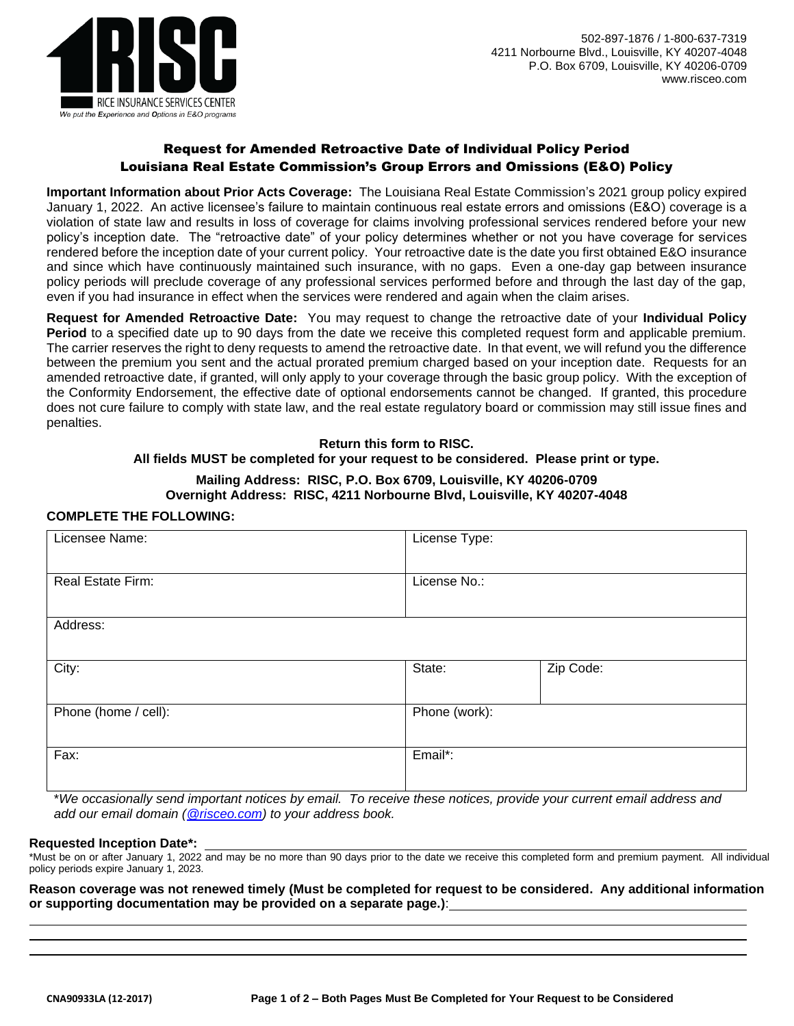

# Request for Amended Retroactive Date of Individual Policy Period Louisiana Real Estate Commission's Group Errors and Omissions (E&O) Policy

**Important Information about Prior Acts Coverage:** The Louisiana Real Estate Commission's 2021 group policy expired January 1, 2022. An active licensee's failure to maintain continuous real estate errors and omissions (E&O) coverage is a violation of state law and results in loss of coverage for claims involving professional services rendered before your new policy's inception date. The "retroactive date" of your policy determines whether or not you have coverage for services rendered before the inception date of your current policy. Your retroactive date is the date you first obtained E&O insurance and since which have continuously maintained such insurance, with no gaps. Even a one-day gap between insurance policy periods will preclude coverage of any professional services performed before and through the last day of the gap, even if you had insurance in effect when the services were rendered and again when the claim arises.

**Request for Amended Retroactive Date:** You may request to change the retroactive date of your **Individual Policy Period** to a specified date up to 90 days from the date we receive this completed request form and applicable premium. The carrier reserves the right to deny requests to amend the retroactive date. In that event, we will refund you the difference between the premium you sent and the actual prorated premium charged based on your inception date. Requests for an amended retroactive date, if granted, will only apply to your coverage through the basic group policy. With the exception of the Conformity Endorsement, the effective date of optional endorsements cannot be changed. If granted, this procedure does not cure failure to comply with state law, and the real estate regulatory board or commission may still issue fines and penalties.

**Return this form to RISC.** 

### **All fields MUST be completed for your request to be considered. Please print or type.**

### **Mailing Address: RISC, P.O. Box 6709, Louisville, KY 40206-0709 Overnight Address: RISC, 4211 Norbourne Blvd, Louisville, KY 40207-4048**

## **COMPLETE THE FOLLOWING:**

| Licensee Name:       | License Type: |           |  |
|----------------------|---------------|-----------|--|
| Real Estate Firm:    | License No.:  |           |  |
| Address:             |               |           |  |
| City:                | State:        | Zip Code: |  |
| Phone (home / cell): | Phone (work): |           |  |
| Fax:                 | Email*:       |           |  |

\**We occasionally send important notices by email. To receive these notices, provide your current email address and add our email domain [\(@risceo.com\)](mailto:policyadministrator@risceo.com) to your address book.*

#### **Requested Inception Date\*:**

\*Must be on or after January 1, 2022 and may be no more than 90 days prior to the date we receive this completed form and premium payment. All individual policy periods expire January 1, 2023.

**Reason coverage was not renewed timely (Must be completed for request to be considered. Any additional information or supporting documentation may be provided on a separate page.)**: